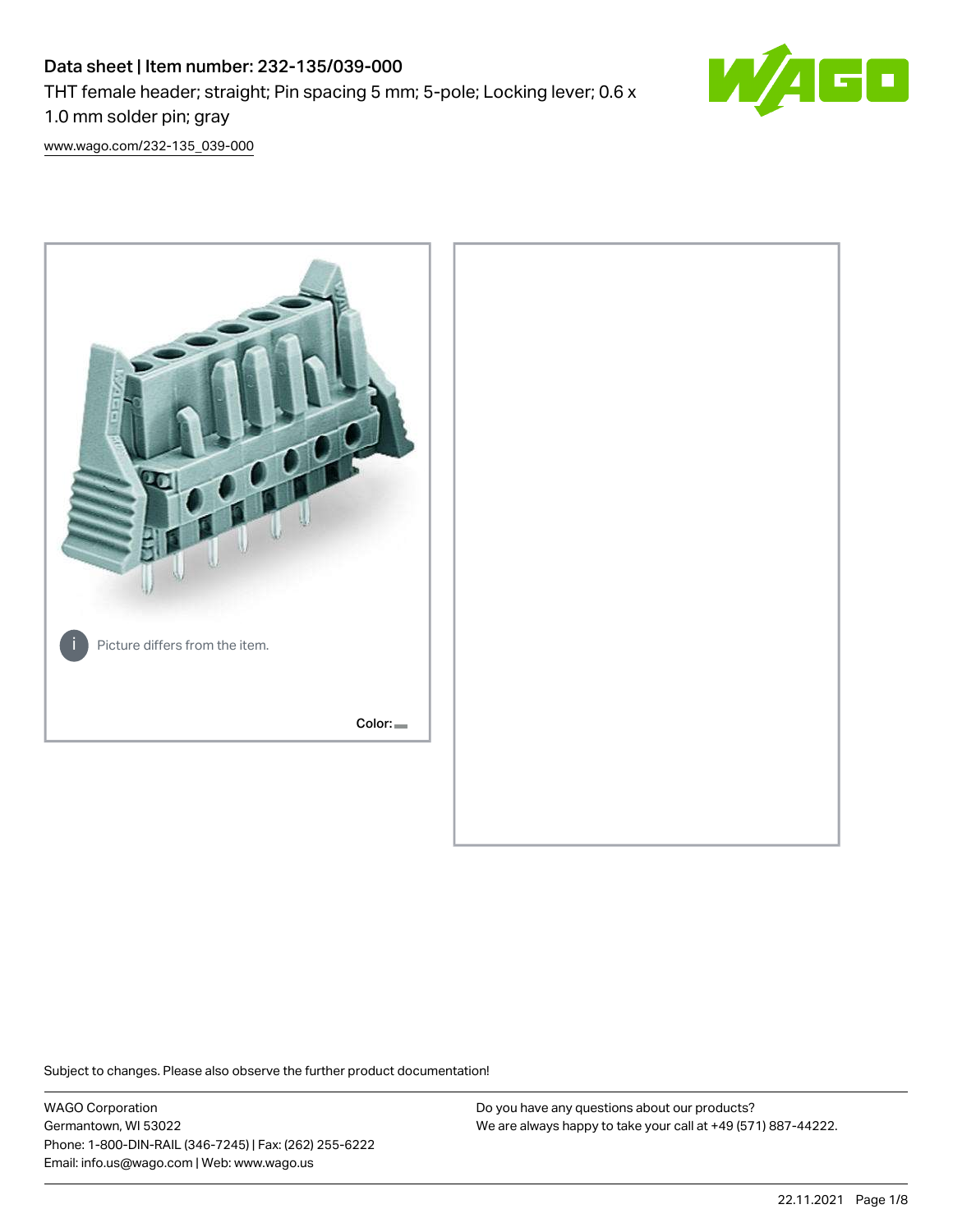# Data sheet | Item number: 232-135/039-000 THT female header; straight; Pin spacing 5 mm; 5-pole; Locking lever; 0.6 x 1.0 mm solder pin; gray



[www.wago.com/232-135\\_039-000](http://www.wago.com/232-135_039-000)



Subject to changes. Please also observe the further product documentation!

WAGO Corporation Germantown, WI 53022 Phone: 1-800-DIN-RAIL (346-7245) | Fax: (262) 255-6222 Email: info.us@wago.com | Web: www.wago.us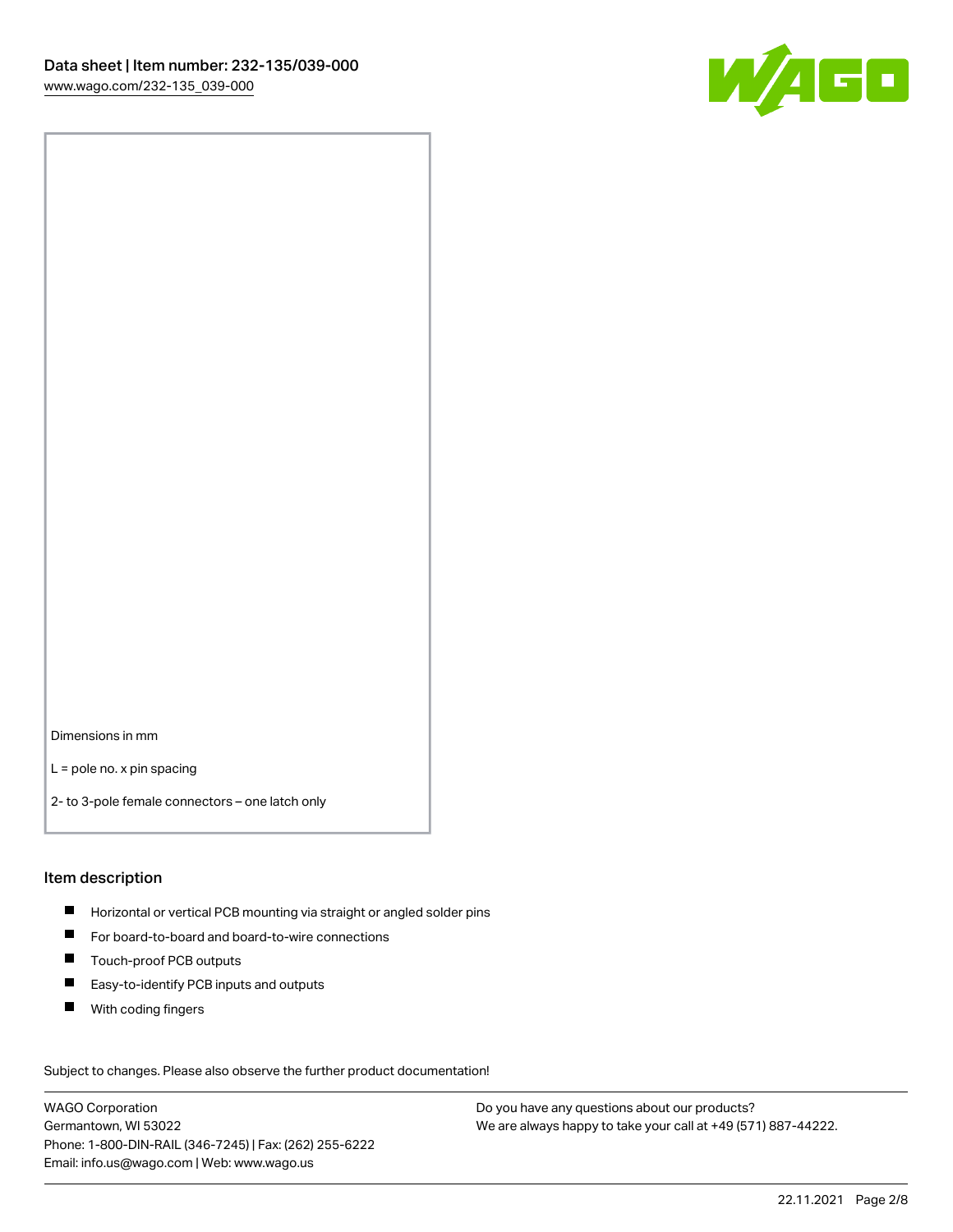

Dimensions in mm

L = pole no. x pin spacing

2- to 3-pole female connectors – one latch only

#### Item description

- **H** Horizontal or vertical PCB mounting via straight or angled solder pins
- For board-to-board and board-to-wire connections
- Touch-proof PCB outputs  $\blacksquare$
- $\blacksquare$ Easy-to-identify PCB inputs and outputs
- $\blacksquare$ With coding fingers

Subject to changes. Please also observe the further product documentation! Data

WAGO Corporation Germantown, WI 53022 Phone: 1-800-DIN-RAIL (346-7245) | Fax: (262) 255-6222 Email: info.us@wago.com | Web: www.wago.us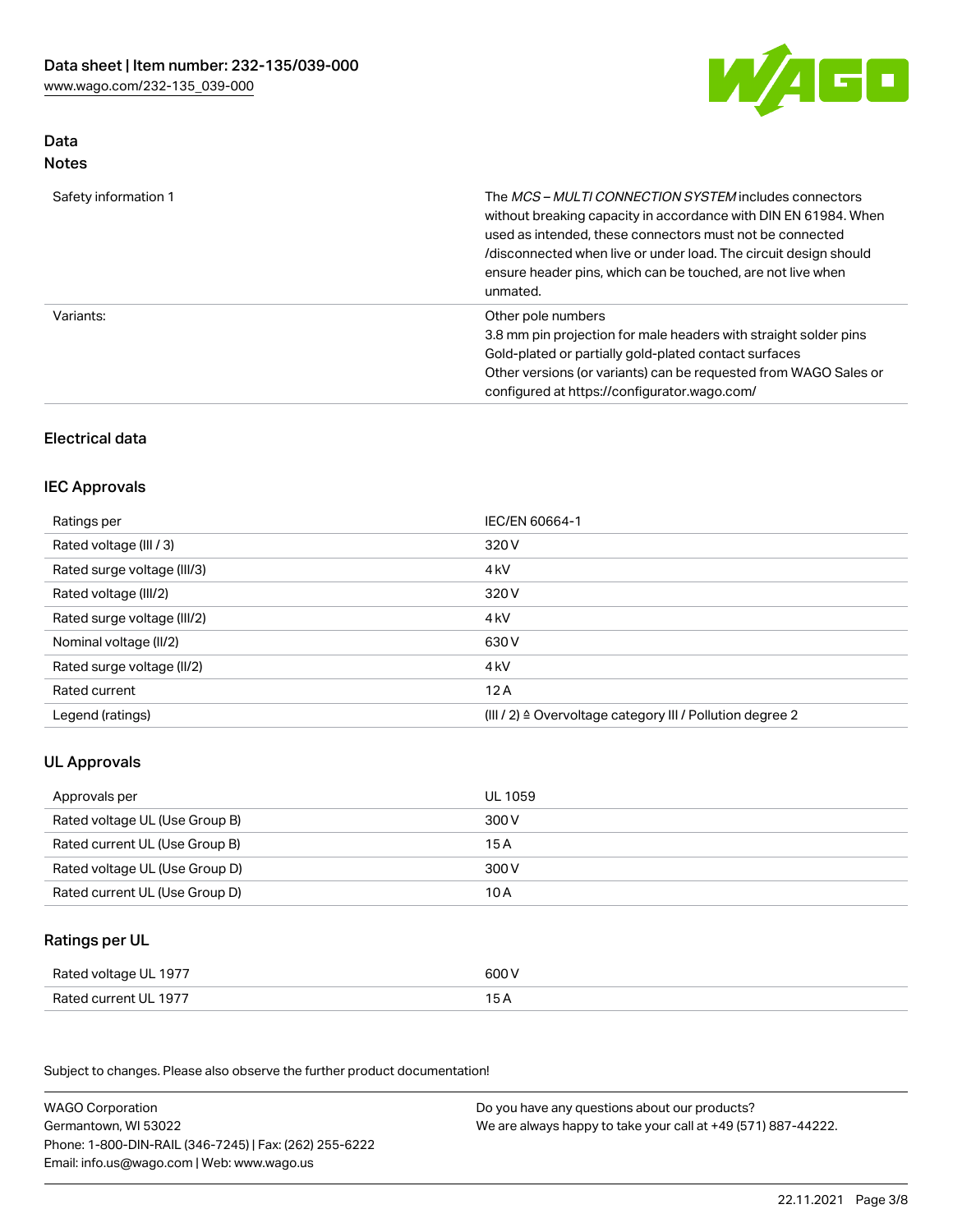

# Data Notes

| Safety information 1 | The <i>MCS – MULTI CONNECTION SYSTEM</i> includes connectors<br>without breaking capacity in accordance with DIN EN 61984. When<br>used as intended, these connectors must not be connected<br>/disconnected when live or under load. The circuit design should<br>ensure header pins, which can be touched, are not live when<br>unmated. |
|----------------------|--------------------------------------------------------------------------------------------------------------------------------------------------------------------------------------------------------------------------------------------------------------------------------------------------------------------------------------------|
| Variants:            | Other pole numbers<br>3.8 mm pin projection for male headers with straight solder pins<br>Gold-plated or partially gold-plated contact surfaces<br>Other versions (or variants) can be requested from WAGO Sales or<br>configured at https://configurator.wago.com/                                                                        |

# Electrical data

### IEC Approvals

| Ratings per                 | IEC/EN 60664-1                                                        |
|-----------------------------|-----------------------------------------------------------------------|
| Rated voltage (III / 3)     | 320 V                                                                 |
| Rated surge voltage (III/3) | 4 <sub>k</sub> V                                                      |
| Rated voltage (III/2)       | 320 V                                                                 |
| Rated surge voltage (III/2) | 4 <sub>k</sub> V                                                      |
| Nominal voltage (II/2)      | 630 V                                                                 |
| Rated surge voltage (II/2)  | 4 <sub>k</sub> V                                                      |
| Rated current               | 12A                                                                   |
| Legend (ratings)            | $(III / 2)$ $\triangle$ Overvoltage category III / Pollution degree 2 |

# UL Approvals

| Approvals per                  | UL 1059 |
|--------------------------------|---------|
| Rated voltage UL (Use Group B) | 300 V   |
| Rated current UL (Use Group B) | 15 A    |
| Rated voltage UL (Use Group D) | 300 V   |
| Rated current UL (Use Group D) | 10 A    |

# Ratings per UL

| Rated voltage UL 1977 | 600 V |
|-----------------------|-------|
| Rated current UL 1977 |       |

Subject to changes. Please also observe the further product documentation!

| <b>WAGO Corporation</b>                                | Do you have any questions about our products?                 |
|--------------------------------------------------------|---------------------------------------------------------------|
| Germantown, WI 53022                                   | We are always happy to take your call at +49 (571) 887-44222. |
| Phone: 1-800-DIN-RAIL (346-7245)   Fax: (262) 255-6222 |                                                               |
| Email: info.us@wago.com   Web: www.wago.us             |                                                               |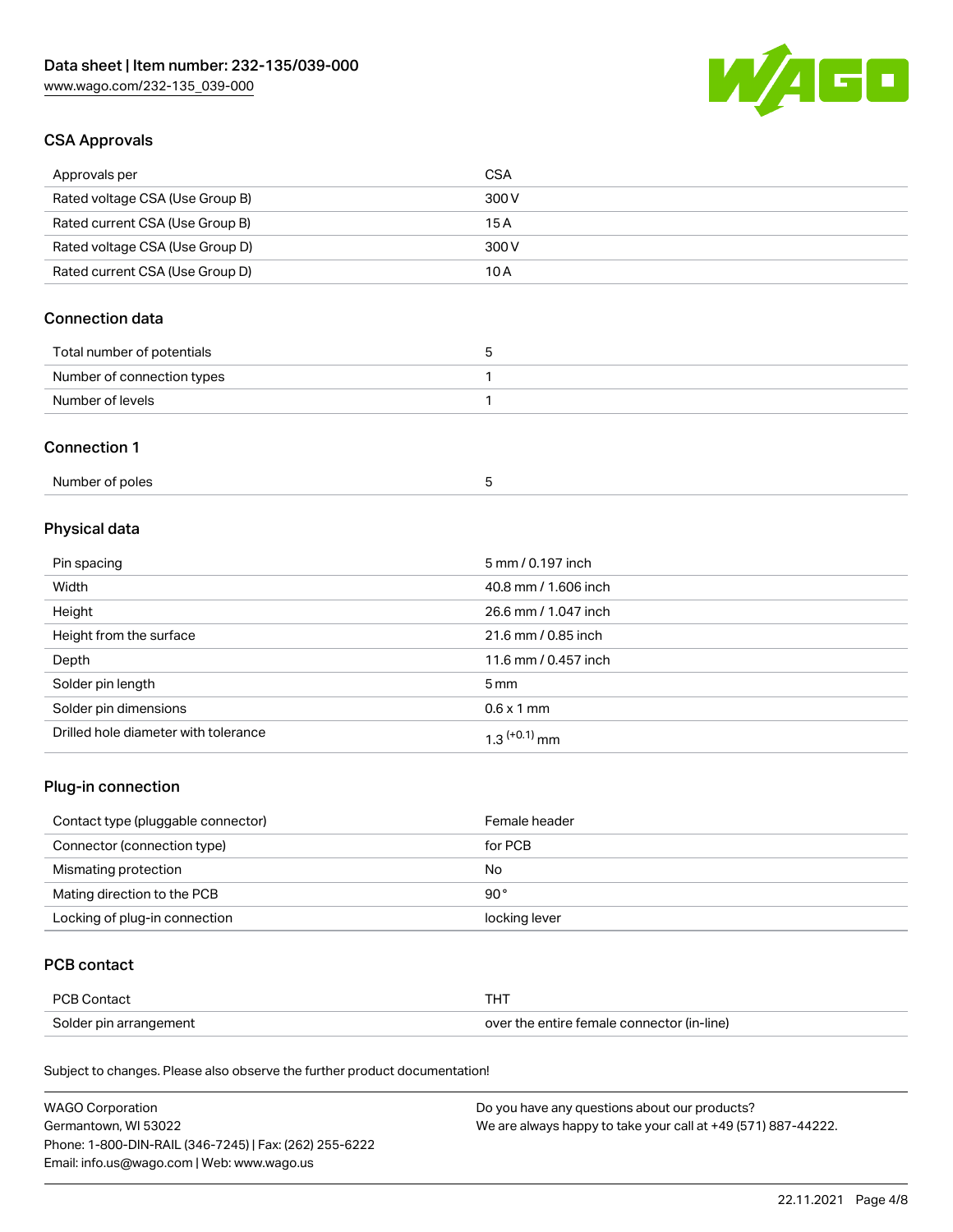

### CSA Approvals

| Approvals per                   | CSA   |
|---------------------------------|-------|
| Rated voltage CSA (Use Group B) | 300 V |
| Rated current CSA (Use Group B) | 15 A  |
| Rated voltage CSA (Use Group D) | 300 V |
| Rated current CSA (Use Group D) | 10 A  |

# Connection data

| Total number of potentials |  |
|----------------------------|--|
| Number of connection types |  |
| Number of levels           |  |

### Connection 1

| Number of poles |  |
|-----------------|--|
|                 |  |

# Physical data

| Pin spacing                          | 5 mm / 0.197 inch    |
|--------------------------------------|----------------------|
| Width                                | 40.8 mm / 1.606 inch |
| Height                               | 26.6 mm / 1.047 inch |
| Height from the surface              | 21.6 mm / 0.85 inch  |
| Depth                                | 11.6 mm / 0.457 inch |
| Solder pin length                    | $5 \,\mathrm{mm}$    |
| Solder pin dimensions                | $0.6 \times 1$ mm    |
| Drilled hole diameter with tolerance | $1.3$ $(+0.1)$ mm    |

# Plug-in connection

| Contact type (pluggable connector) | Female header |
|------------------------------------|---------------|
| Connector (connection type)        | for PCB       |
| Mismating protection               | No            |
| Mating direction to the PCB        | $90^{\circ}$  |
| Locking of plug-in connection      | locking lever |

### PCB contact

| PCB Contact            | тнт                                        |
|------------------------|--------------------------------------------|
| Solder pin arrangement | over the entire female connector (in-line) |

Subject to changes. Please also observe the further product documentation!

| <b>WAGO Corporation</b>                                | Do you have any questions about our products?                 |
|--------------------------------------------------------|---------------------------------------------------------------|
| Germantown, WI 53022                                   | We are always happy to take your call at +49 (571) 887-44222. |
| Phone: 1-800-DIN-RAIL (346-7245)   Fax: (262) 255-6222 |                                                               |
| Email: info.us@wago.com   Web: www.wago.us             |                                                               |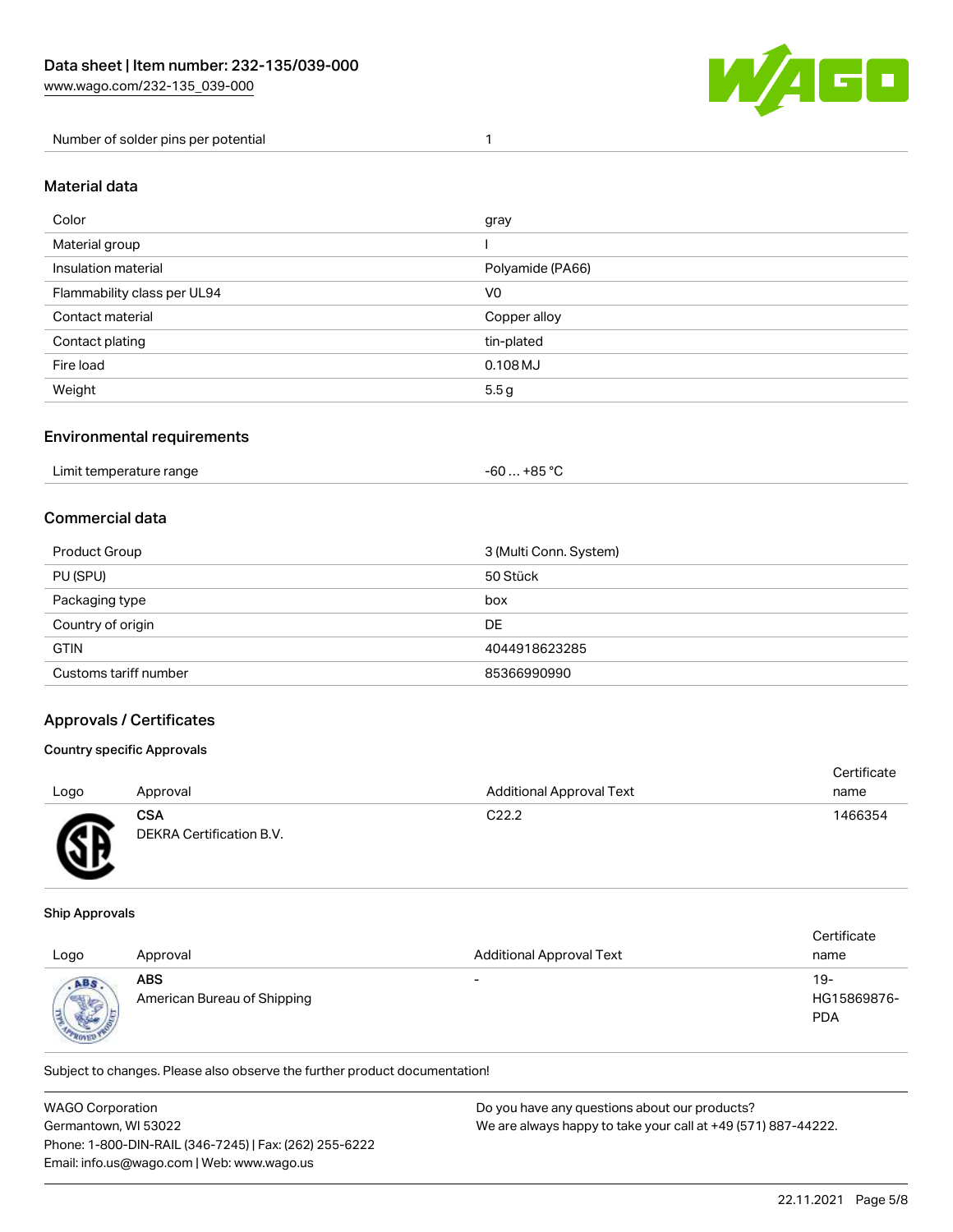

Number of solder pins per potential 1

### Material data

| Color                       | gray             |
|-----------------------------|------------------|
| Material group              |                  |
| Insulation material         | Polyamide (PA66) |
| Flammability class per UL94 | V <sub>0</sub>   |
| Contact material            | Copper alloy     |
| Contact plating             | tin-plated       |
| Fire load                   | $0.108$ MJ       |
| Weight                      | 5.5 <sub>g</sub> |

### Environmental requirements

| Limit temperature range<br>. | $+85 °C$<br>-60 |  |
|------------------------------|-----------------|--|
|------------------------------|-----------------|--|

### Commercial data

| Product Group         | 3 (Multi Conn. System) |
|-----------------------|------------------------|
| PU (SPU)              | 50 Stück               |
| Packaging type        | box                    |
| Country of origin     | DE                     |
| <b>GTIN</b>           | 4044918623285          |
| Customs tariff number | 85366990990            |

### Approvals / Certificates

### Country specific Approvals

| Logo      | Approval                                      | <b>Additional Approval Text</b> | Certificate<br>name |
|-----------|-----------------------------------------------|---------------------------------|---------------------|
| <b>AR</b> | <b>CSA</b><br><b>DEKRA Certification B.V.</b> | C <sub>22.2</sub>               | 1466354             |

#### Ship Approvals

w

| Logo                        | Approval                                  | <b>Additional Approval Text</b> | Certificate<br>name              |
|-----------------------------|-------------------------------------------|---------------------------------|----------------------------------|
| ABS<br><b>Sight</b><br>ROAK | <b>ABS</b><br>American Bureau of Shipping | $\overline{\phantom{0}}$        | 19-<br>HG15869876-<br><b>PDA</b> |

Subject to changes. Please also observe the further product documentation!

| <b>WAGO Corporation</b>                                | Do you have any questions about our products?                 |
|--------------------------------------------------------|---------------------------------------------------------------|
| Germantown, WI 53022                                   | We are always happy to take your call at +49 (571) 887-44222. |
| Phone: 1-800-DIN-RAIL (346-7245)   Fax: (262) 255-6222 |                                                               |
| Email: info.us@wago.com   Web: www.wago.us             |                                                               |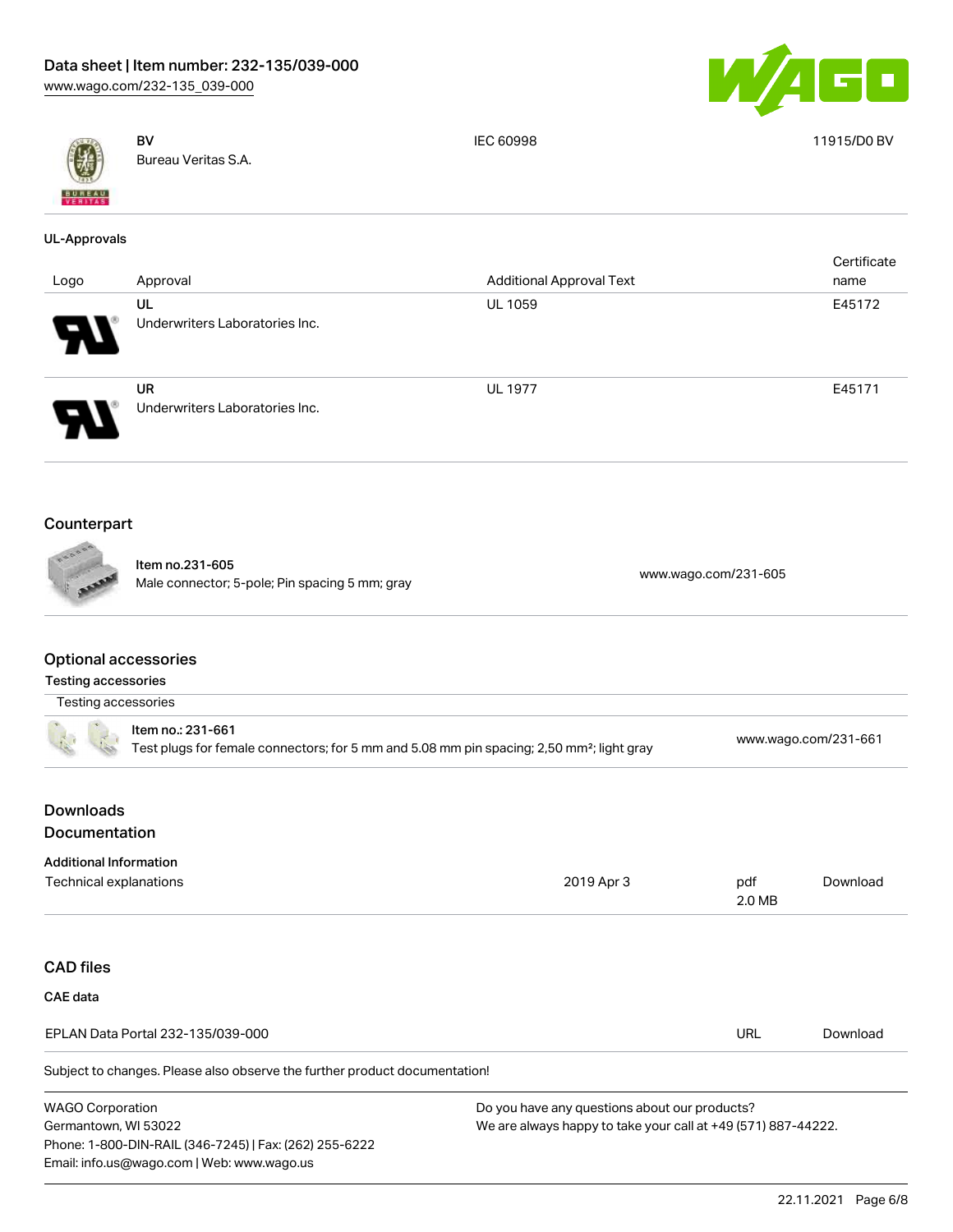Phone: 1-800-DIN-RAIL (346-7245) | Fax: (262) 255-6222

Email: info.us@wago.com | Web: www.wago.us



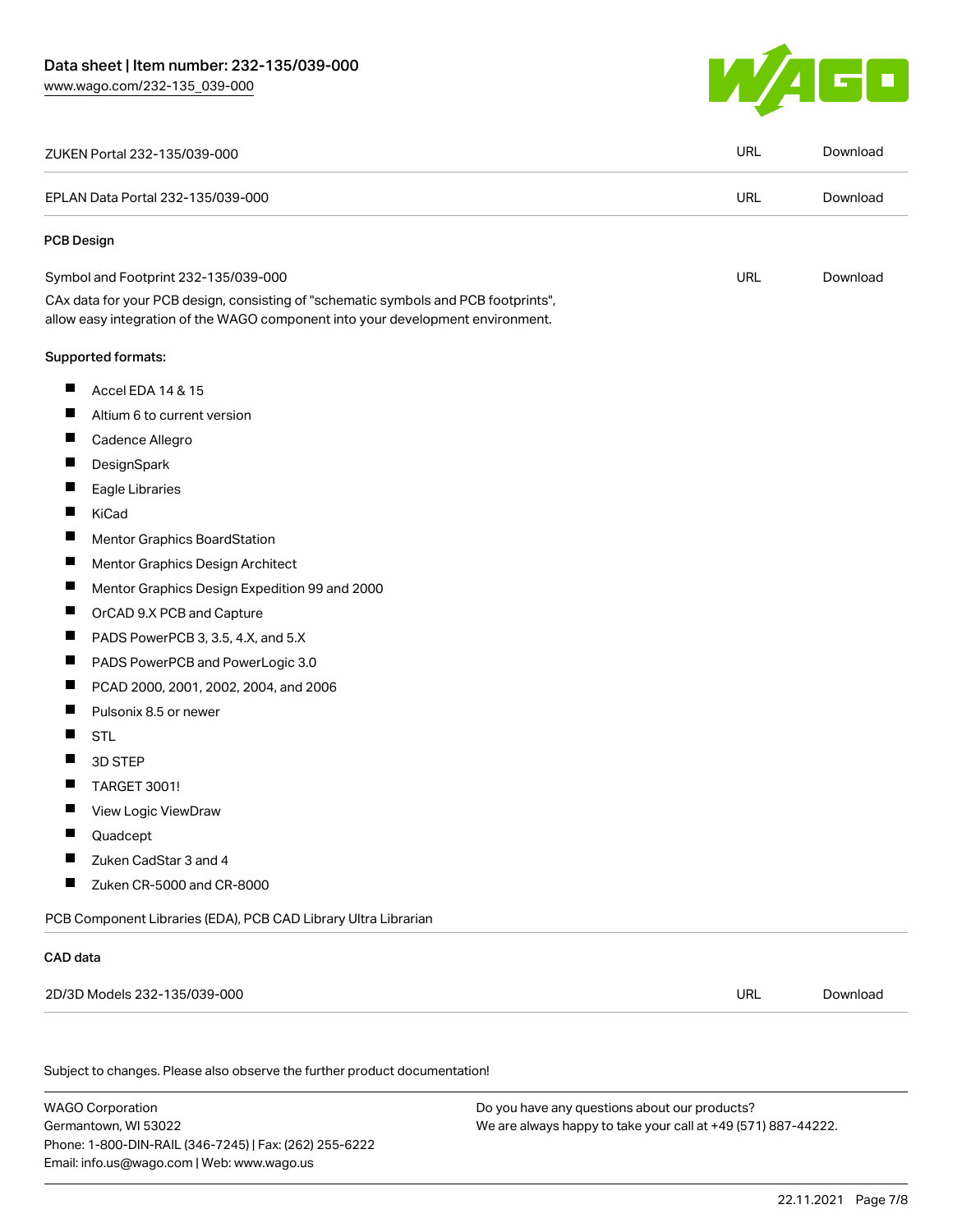

| ZUKEN Portal 232-135/039-000                                                                                                                                           | <b>URL</b> | Download |
|------------------------------------------------------------------------------------------------------------------------------------------------------------------------|------------|----------|
| EPLAN Data Portal 232-135/039-000                                                                                                                                      | <b>URL</b> | Download |
| <b>PCB Design</b>                                                                                                                                                      |            |          |
| Symbol and Footprint 232-135/039-000                                                                                                                                   | URL        | Download |
| CAx data for your PCB design, consisting of "schematic symbols and PCB footprints",<br>allow easy integration of the WAGO component into your development environment. |            |          |
| Supported formats:                                                                                                                                                     |            |          |
| ш<br>Accel EDA 14 & 15                                                                                                                                                 |            |          |
| ш<br>Altium 6 to current version                                                                                                                                       |            |          |
| ш<br>Cadence Allegro                                                                                                                                                   |            |          |
| ш<br>DesignSpark                                                                                                                                                       |            |          |
| ш<br>Eagle Libraries                                                                                                                                                   |            |          |
| П<br>KiCad                                                                                                                                                             |            |          |
| $\blacksquare$<br>Mentor Graphics BoardStation                                                                                                                         |            |          |
| ш<br>Mentor Graphics Design Architect                                                                                                                                  |            |          |
| $\blacksquare$<br>Mentor Graphics Design Expedition 99 and 2000                                                                                                        |            |          |
| $\blacksquare$<br>OrCAD 9.X PCB and Capture                                                                                                                            |            |          |
| $\blacksquare$<br>PADS PowerPCB 3, 3.5, 4.X, and 5.X                                                                                                                   |            |          |
| $\blacksquare$<br>PADS PowerPCB and PowerLogic 3.0                                                                                                                     |            |          |
| ш<br>PCAD 2000, 2001, 2002, 2004, and 2006                                                                                                                             |            |          |
| $\blacksquare$<br>Pulsonix 8.5 or newer                                                                                                                                |            |          |
| H<br><b>STL</b>                                                                                                                                                        |            |          |
| П<br>3D STEP                                                                                                                                                           |            |          |
| $\blacksquare$<br><b>TARGET 3001!</b>                                                                                                                                  |            |          |
| $\blacksquare$<br>View Logic ViewDraw                                                                                                                                  |            |          |
| ш<br>Quadcept                                                                                                                                                          |            |          |
| Zuken CadStar 3 and 4                                                                                                                                                  |            |          |
| H<br>Zuken CR-5000 and CR-8000                                                                                                                                         |            |          |
| PCB Component Libraries (EDA), PCB CAD Library Ultra Librarian                                                                                                         |            |          |
| CAD data                                                                                                                                                               |            |          |
| 2D/3D Models 232-135/039-000                                                                                                                                           | <b>URL</b> | Download |
|                                                                                                                                                                        |            |          |
| Subject to changes. Please also observe the further product documentation!                                                                                             |            |          |
|                                                                                                                                                                        |            |          |

WAGO Corporation Germantown, WI 53022 Phone: 1-800-DIN-RAIL (346-7245) | Fax: (262) 255-6222 Email: info.us@wago.com | Web: www.wago.us